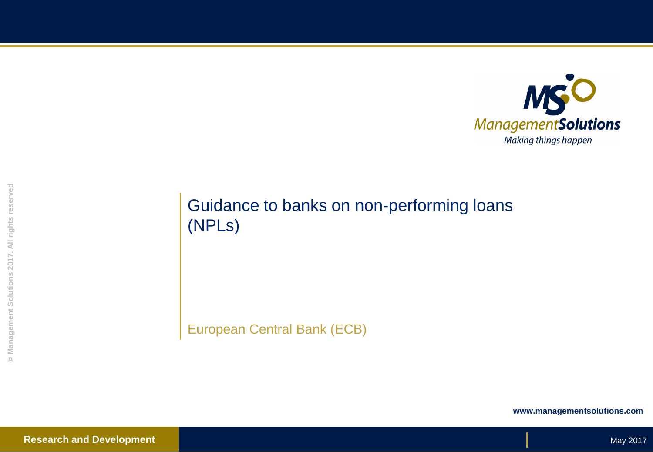

# Guidance to banks on non-performing loans (NPLs)

European Central Bank (ECB)

**www.managementsolutions.com**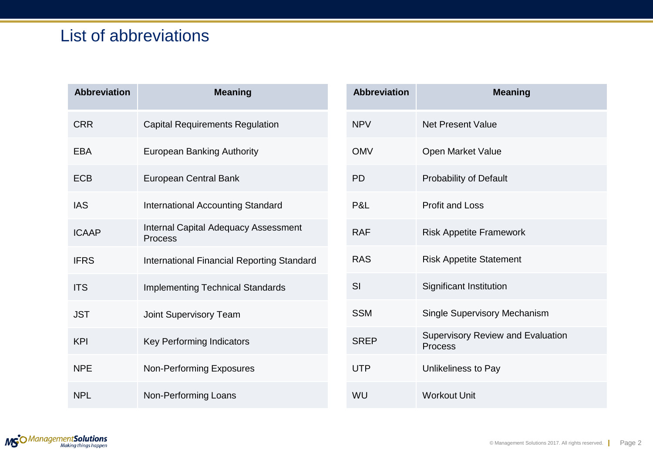# List of abbreviations

| <b>Abbreviation</b> | <b>Meaning</b>                                         |
|---------------------|--------------------------------------------------------|
| <b>CRR</b>          | <b>Capital Requirements Regulation</b>                 |
| FBA                 | <b>European Banking Authority</b>                      |
| <b>ECB</b>          | <b>European Central Bank</b>                           |
| <b>IAS</b>          | <b>International Accounting Standard</b>               |
| <b>ICAAP</b>        | <b>Internal Capital Adequacy Assessment</b><br>Process |
| <b>IFRS</b>         | <b>International Financial Reporting Standard</b>      |
| <b>ITS</b>          | <b>Implementing Technical Standards</b>                |
| JST                 | <b>Joint Supervisory Team</b>                          |
| <b>KPI</b>          | <b>Key Performing Indicators</b>                       |
| <b>NPF</b>          | <b>Non-Performing Exposures</b>                        |
| NPI.                | Non-Performing Loans                                   |

| <b>Abbreviation</b> | <b>Meaning</b>                                      |
|---------------------|-----------------------------------------------------|
| <b>NPV</b>          | <b>Net Present Value</b>                            |
| <b>OMV</b>          | Open Market Value                                   |
| <b>PD</b>           | <b>Probability of Default</b>                       |
| P&L                 | <b>Profit and Loss</b>                              |
| <b>RAF</b>          | <b>Risk Appetite Framework</b>                      |
| <b>RAS</b>          | <b>Risk Appetite Statement</b>                      |
| SI                  | Significant Institution                             |
| <b>SSM</b>          | Single Supervisory Mechanism                        |
| <b>SREP</b>         | <b>Supervisory Review and Evaluation</b><br>Process |
| UTP                 | Unlikeliness to Pay                                 |
| WU                  | <b>Workout Unit</b>                                 |

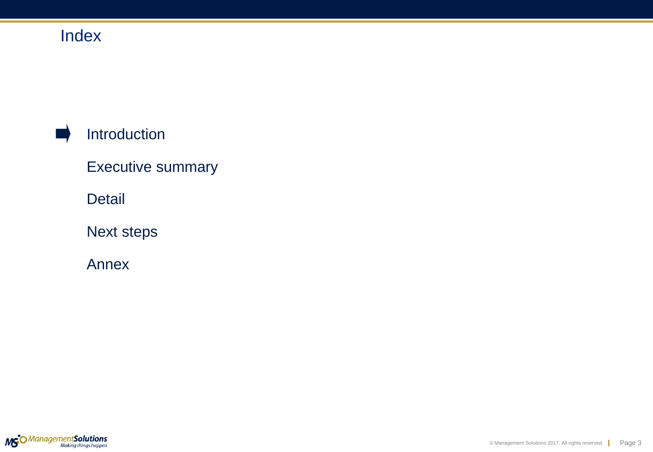# Index

# Introduction

Executive summary

Detail

Next steps

Annex

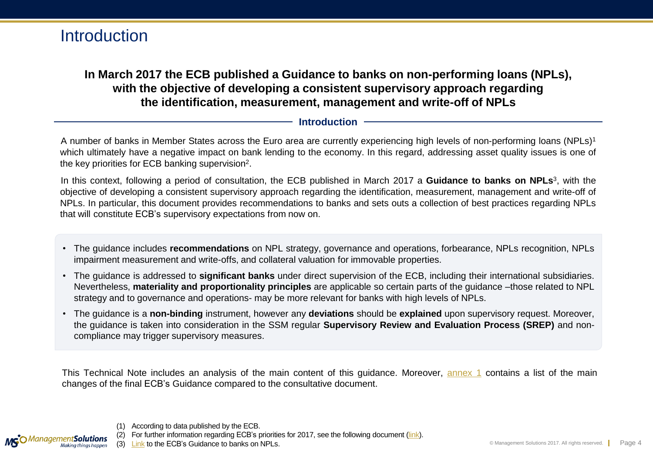### **In March 2017 the ECB published a Guidance to banks on non-performing loans (NPLs), with the objective of developing a consistent supervisory approach regarding the identification, measurement, management and write-off of NPLs**

### **Introduction**

A number of banks in Member States across the Euro area are currently experiencing high levels of non-performing loans (NPLs)<sup>1</sup> which ultimately have a negative impact on bank lending to the economy. In this regard, addressing asset quality issues is one of the key priorities for ECB banking supervision<sup>2</sup>.

In this context, following a period of consultation, the ECB published in March 2017 a **Guidance to banks on NPLs**<sup>3</sup> , with the objective of developing a consistent supervisory approach regarding the identification, measurement, management and write-off of NPLs. In particular, this document provides recommendations to banks and sets outs a collection of best practices regarding NPLs that will constitute ECB's supervisory expectations from now on.

- The guidance includes **recommendations** on NPL strategy, governance and operations, forbearance, NPLs recognition, NPLs impairment measurement and write-offs, and collateral valuation for immovable properties.
- The guidance is addressed to **significant banks** under direct supervision of the ECB, including their international subsidiaries. Nevertheless, **materiality and proportionality principles** are applicable so certain parts of the guidance –those related to NPL strategy and to governance and operations- may be more relevant for banks with high levels of NPLs.
- The guidance is a **non-binding** instrument, however any **deviations** should be **explained** upon supervisory request. Moreover, the guidance is taken into consideration in the SSM regular **Supervisory Review and Evaluation Process (SREP)** and noncompliance may trigger supervisory measures.

This Technical Note includes an analysis of the main content of this guidance. Moreover, [annex](#page-22-0) [1](#page-22-0) contains a list of the main changes of the final ECB's Guidance compared to the consultative document.



<sup>(1)</sup> According to data published by the ECB.

For further information regarding ECB's priorities for 2017, see the following document [\(link\)](https://www.bankingsupervision.europa.eu/ecb/pub/pdf/publication_supervisory_priorities_2017.en.pdf?ac63ee34433643f0d7c8eea5a688327c).

(3) [Link](https://www.bankingsupervision.europa.eu/ecb/pub/pdf/guidance_on_npl.en.pdf?b2b48eefa9972f0ca983c8b164b859ac) to the ECB's Guidance to banks on NPLs.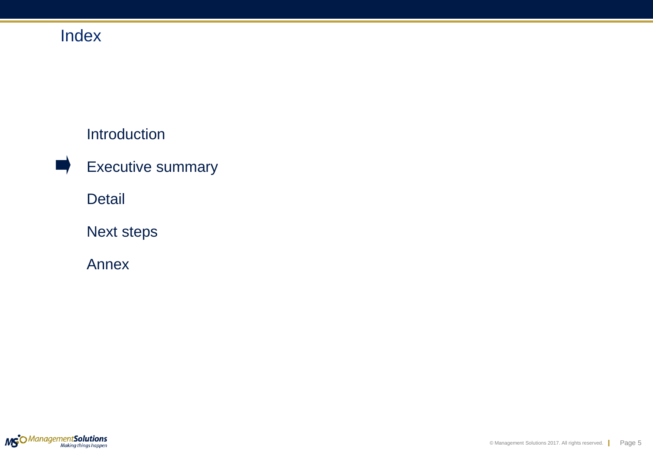# Index

## Introduction

Executive summary

Detail

Next steps

Annex

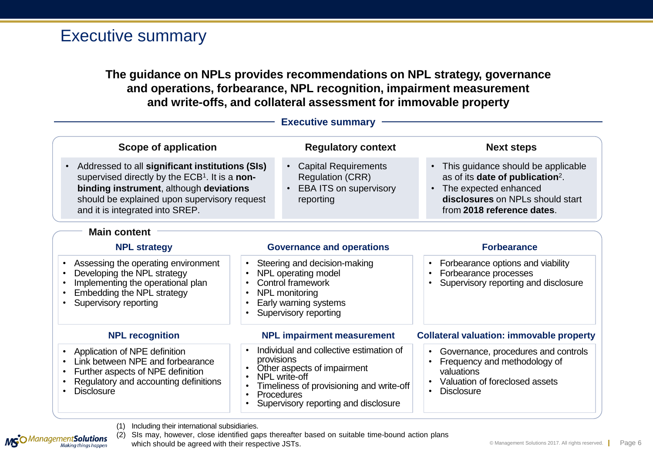### Executive summary

**The guidance on NPLs provides recommendations on NPL strategy, governance and operations, forbearance, NPL recognition, impairment measurement and write-offs, and collateral assessment for immovable property**

|                                                                                                                                                                                                                                                          |  | <b>Executive summary</b>                                                                                                                                                                                |                                                                                                                                                                                              |
|----------------------------------------------------------------------------------------------------------------------------------------------------------------------------------------------------------------------------------------------------------|--|---------------------------------------------------------------------------------------------------------------------------------------------------------------------------------------------------------|----------------------------------------------------------------------------------------------------------------------------------------------------------------------------------------------|
| Scope of application                                                                                                                                                                                                                                     |  | <b>Regulatory context</b>                                                                                                                                                                               | <b>Next steps</b>                                                                                                                                                                            |
| Addressed to all significant institutions (SIs)<br>$\bullet$<br>supervised directly by the ECB <sup>1</sup> . It is a non-<br>binding instrument, although deviations<br>should be explained upon supervisory request<br>and it is integrated into SREP. |  | <b>Capital Requirements</b><br><b>Regulation (CRR)</b><br><b>EBA ITS on supervisory</b><br>reporting                                                                                                    | • This guidance should be applicable<br>as of its date of publication <sup>2</sup> .<br>The expected enhanced<br>$\bullet$<br>disclosures on NPLs should start<br>from 2018 reference dates. |
| <b>Main content</b>                                                                                                                                                                                                                                      |  |                                                                                                                                                                                                         |                                                                                                                                                                                              |
| <b>NPL strategy</b>                                                                                                                                                                                                                                      |  | <b>Governance and operations</b>                                                                                                                                                                        | <b>Forbearance</b>                                                                                                                                                                           |
| Assessing the operating environment<br>$\bullet$<br>Developing the NPL strategy<br>$\bullet$<br>Implementing the operational plan<br>$\bullet$<br>Embedding the NPL strategy<br>$\bullet$<br>Supervisory reporting<br>$\bullet$<br>$\bullet$             |  | Steering and decision-making<br>NPL operating model<br>Control framework<br>NPL monitoring<br>Early warning systems<br>Supervisory reporting                                                            | Forbearance options and viability<br>Forbearance processes<br>Supervisory reporting and disclosure                                                                                           |
| <b>NPL recognition</b>                                                                                                                                                                                                                                   |  | <b>NPL impairment measurement</b>                                                                                                                                                                       | <b>Collateral valuation: immovable property</b>                                                                                                                                              |
| Application of NPE definition<br>$\bullet$<br>Link between NPE and forbearance<br>$\bullet$<br>Further aspects of NPE definition<br>$\bullet$<br>Regulatory and accounting definitions<br>$\bullet$<br><b>Disclosure</b><br>$\bullet$                    |  | Individual and collective estimation of<br>provisions<br>Other aspects of impairment<br>NPL write-off<br>Timeliness of provisioning and write-off<br>Procedures<br>Supervisory reporting and disclosure | Governance, procedures and controls<br>Frequency and methodology of<br>valuations<br>Valuation of foreclosed assets<br><b>Disclosure</b>                                                     |

(1) Including their international subsidiaries.

**MG**O Management **Solutions** 

(2) SIs may, however, close identified gaps thereafter based on suitable time-bound action plans

which should be agreed with their respective JSTs.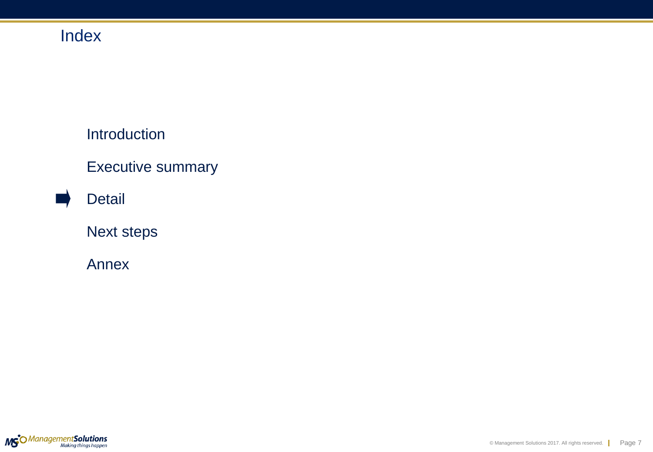# Index

Introduction

Executive summary

Detail

Next steps

Annex

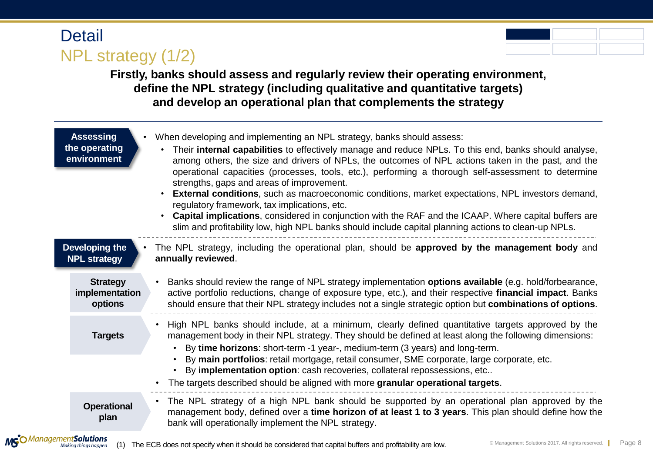**Detail** NPL strategy (1/2)

**Firstly, banks should assess and regularly review their operating environment, define the NPL strategy (including qualitative and quantitative targets) and develop an operational plan that complements the strategy**

|                                       | <b>Assessing</b><br>the operating<br>environment | When developing and implementing an NPL strategy, banks should assess:<br>Their internal capabilities to effectively manage and reduce NPLs. To this end, banks should analyse,<br>among others, the size and drivers of NPLs, the outcomes of NPL actions taken in the past, and the<br>operational capacities (processes, tools, etc.), performing a thorough self-assessment to determine<br>strengths, gaps and areas of improvement.<br><b>External conditions</b> , such as macroeconomic conditions, market expectations, NPL investors demand,<br>regulatory framework, tax implications, etc.<br><b>Capital implications</b> , considered in conjunction with the RAF and the ICAAP. Where capital buffers are<br>slim and profitability low, high NPL banks should include capital planning actions to clean-up NPLs. |  |
|---------------------------------------|--------------------------------------------------|---------------------------------------------------------------------------------------------------------------------------------------------------------------------------------------------------------------------------------------------------------------------------------------------------------------------------------------------------------------------------------------------------------------------------------------------------------------------------------------------------------------------------------------------------------------------------------------------------------------------------------------------------------------------------------------------------------------------------------------------------------------------------------------------------------------------------------|--|
| Developing the<br><b>NPL strategy</b> |                                                  | The NPL strategy, including the operational plan, should be approved by the management body and<br>annually reviewed.                                                                                                                                                                                                                                                                                                                                                                                                                                                                                                                                                                                                                                                                                                           |  |
|                                       | <b>Strategy</b><br>implementation<br>options     | Banks should review the range of NPL strategy implementation options available (e.g. hold/forbearance,<br>active portfolio reductions, change of exposure type, etc.), and their respective financial impact. Banks<br>should ensure that their NPL strategy includes not a single strategic option but combinations of options.                                                                                                                                                                                                                                                                                                                                                                                                                                                                                                |  |
|                                       | <b>Targets</b>                                   | High NPL banks should include, at a minimum, clearly defined quantitative targets approved by the<br>management body in their NPL strategy. They should be defined at least along the following dimensions:<br>By time horizons: short-term -1 year-, medium-term (3 years) and long-term.<br>$\bullet$                                                                                                                                                                                                                                                                                                                                                                                                                                                                                                                         |  |
|                                       |                                                  | By main portfolios: retail mortgage, retail consumer, SME corporate, large corporate, etc.<br>By implementation option: cash recoveries, collateral repossessions, etc<br>The targets described should be aligned with more granular operational targets.                                                                                                                                                                                                                                                                                                                                                                                                                                                                                                                                                                       |  |
|                                       | <b>Operational</b><br>plan<br>. <b>. . .</b>     | The NPL strategy of a high NPL bank should be supported by an operational plan approved by the<br>$\bullet$<br>management body, defined over a time horizon of at least 1 to 3 years. This plan should define how the<br>bank will operationally implement the NPL strategy.                                                                                                                                                                                                                                                                                                                                                                                                                                                                                                                                                    |  |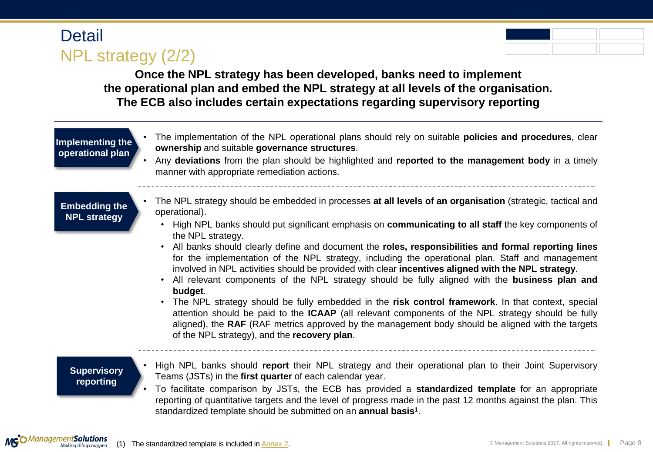# **Detail** NPL strategy (2/2)



**Once the NPL strategy has been developed, banks need to implement the operational plan and embed the NPL strategy at all levels of the organisation. The ECB also includes certain expectations regarding supervisory reporting**

#### **Implementing the operational plan** • The implementation of the NPL operational plans should rely on suitable **policies and procedures**, clear **ownership** and suitable **governance structures**. • Any **deviations** from the plan should be highlighted and **reported to the management body** in a timely manner with appropriate remediation actions. **Embedding the NPL strategy** • The NPL strategy should be embedded in processes **at all levels of an organisation** (strategic, tactical and operational). • High NPL banks should put significant emphasis on **communicating to all staff** the key components of the NPL strategy. • All banks should clearly define and document the **roles, responsibilities and formal reporting lines** for the implementation of the NPL strategy, including the operational plan. Staff and management involved in NPL activities should be provided with clear **incentives aligned with the NPL strategy**. • All relevant components of the NPL strategy should be fully aligned with the **business plan and budget**. • The NPL strategy should be fully embedded in the **risk control framework**. In that context, special attention should be paid to the **ICAAP** (all relevant components of the NPL strategy should be fully aligned), the **RAF** (RAF metrics approved by the management body should be aligned with the targets of the NPL strategy), and the **recovery plan**. **Supervisory reporting** • High NPL banks should **report** their NPL strategy and their operational plan to their Joint Supervisory Teams (JSTs) in the **first quarter** of each calendar year. • To facilitate comparison by JSTs, the ECB has provided a **standardized template** for an appropriate reporting of quantitative targets and the level of progress made in the past 12 months against the plan. This

standardized template should be submitted on an **annual basis<sup>1</sup>** .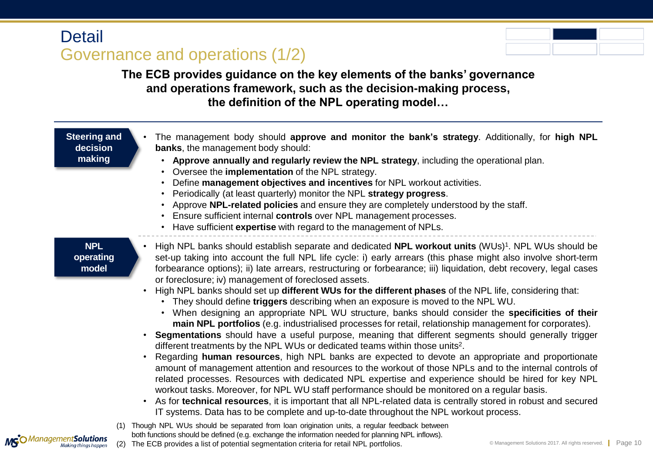# **Detail** Governance and operations (1/2)



**The ECB provides guidance on the key elements of the banks' governance and operations framework, such as the decision-making process, the definition of the NPL operating model…**

| <b>Steering and</b><br>decision<br>making |     | The management body should approve and monitor the bank's strategy. Additionally, for high NPL<br><b>banks</b> , the management body should:<br>Approve annually and regularly review the NPL strategy, including the operational plan.<br>Oversee the <b>implementation</b> of the NPL strategy.<br>Define management objectives and incentives for NPL workout activities.<br>$\bullet$<br>Periodically (at least quarterly) monitor the NPL strategy progress.<br>Approve NPL-related policies and ensure they are completely understood by the staff.<br>Ensure sufficient internal controls over NPL management processes.<br>$\bullet$<br>Have sufficient expertise with regard to the management of NPLs.<br>$\bullet$                                                                                                                                                                                                                                                                                                                                                                                                                                                                                                                                                                                                                                                                                                                                                                                                                                                                                                                                                                                         |
|-------------------------------------------|-----|-----------------------------------------------------------------------------------------------------------------------------------------------------------------------------------------------------------------------------------------------------------------------------------------------------------------------------------------------------------------------------------------------------------------------------------------------------------------------------------------------------------------------------------------------------------------------------------------------------------------------------------------------------------------------------------------------------------------------------------------------------------------------------------------------------------------------------------------------------------------------------------------------------------------------------------------------------------------------------------------------------------------------------------------------------------------------------------------------------------------------------------------------------------------------------------------------------------------------------------------------------------------------------------------------------------------------------------------------------------------------------------------------------------------------------------------------------------------------------------------------------------------------------------------------------------------------------------------------------------------------------------------------------------------------------------------------------------------------|
| <b>NPL</b><br>operating<br>model          |     | High NPL banks should establish separate and dedicated NPL workout units (WUs) <sup>1</sup> . NPL WUs should be<br>set-up taking into account the full NPL life cycle: i) early arrears (this phase might also involve short-term<br>forbearance options); ii) late arrears, restructuring or forbearance; iii) liquidation, debt recovery, legal cases<br>or foreclosure; iv) management of foreclosed assets.<br>High NPL banks should set up different WUs for the different phases of the NPL life, considering that:<br>They should define triggers describing when an exposure is moved to the NPL WU.<br>When designing an appropriate NPL WU structure, banks should consider the specificities of their<br>main NPL portfolios (e.g. industrialised processes for retail, relationship management for corporates).<br><b>Segmentations</b> should have a useful purpose, meaning that different segments should generally trigger<br>$\bullet$<br>different treatments by the NPL WUs or dedicated teams within those units <sup>2</sup> .<br>Regarding human resources, high NPL banks are expected to devote an appropriate and proportionate<br>$\bullet$<br>amount of management attention and resources to the workout of those NPLs and to the internal controls of<br>related processes. Resources with dedicated NPL expertise and experience should be hired for key NPL<br>workout tasks. Moreover, for NPL WU staff performance should be monitored on a regular basis.<br>As for technical resources, it is important that all NPL-related data is centrally stored in robust and secured<br>$\bullet$<br>IT systems. Data has to be complete and up-to-date throughout the NPL workout process. |
| aaamantCalutione                          | (1) | Though NPL WUs should be separated from loan origination units, a regular feedback between<br>both functions should be defined (e.g. exchange the information needed for planning NPL inflows).                                                                                                                                                                                                                                                                                                                                                                                                                                                                                                                                                                                                                                                                                                                                                                                                                                                                                                                                                                                                                                                                                                                                                                                                                                                                                                                                                                                                                                                                                                                       |

**MG**O Management **Solutions**<br>Making things happen

(2) The ECB provides a list of potential segmentation criteria for retail NPL portfolios.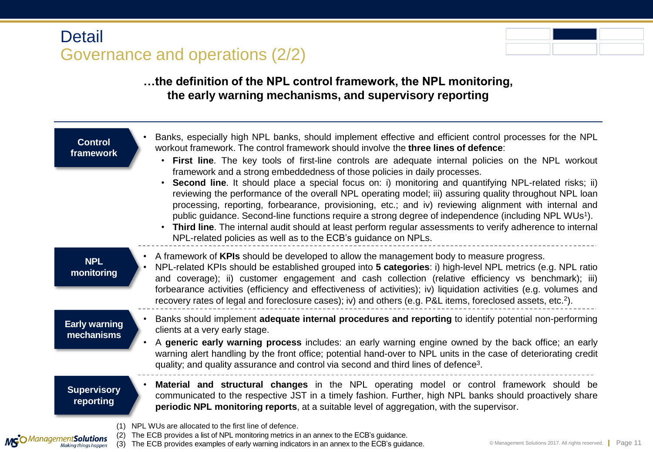# **Detail** Governance and operations (2/2)



 $\vert$  Page 11

### **…the definition of the NPL control framework, the NPL monitoring, the early warning mechanisms, and supervisory reporting**

| <b>Control</b><br>framework                             | Banks, especially high NPL banks, should implement effective and efficient control processes for the NPL<br>workout framework. The control framework should involve the three lines of defence:<br>First line. The key tools of first-line controls are adequate internal policies on the NPL workout<br>$\bullet$<br>framework and a strong embeddedness of those policies in daily processes.<br>Second line. It should place a special focus on: i) monitoring and quantifying NPL-related risks; ii)<br>reviewing the performance of the overall NPL operating model; iii) assuring quality throughout NPL loan<br>processing, reporting, forbearance, provisioning, etc.; and iv) reviewing alignment with internal and<br>public guidance. Second-line functions require a strong degree of independence (including NPL WUs <sup>1</sup> ).<br>Third line. The internal audit should at least perform regular assessments to verify adherence to internal<br>NPL-related policies as well as to the ECB's guidance on NPLs. |
|---------------------------------------------------------|-----------------------------------------------------------------------------------------------------------------------------------------------------------------------------------------------------------------------------------------------------------------------------------------------------------------------------------------------------------------------------------------------------------------------------------------------------------------------------------------------------------------------------------------------------------------------------------------------------------------------------------------------------------------------------------------------------------------------------------------------------------------------------------------------------------------------------------------------------------------------------------------------------------------------------------------------------------------------------------------------------------------------------------|
| <b>NPL</b><br>monitoring                                | A framework of KPIs should be developed to allow the management body to measure progress.<br>NPL-related KPIs should be established grouped into 5 categories: i) high-level NPL metrics (e.g. NPL ratio<br>and coverage); ii) customer engagement and cash collection (relative efficiency vs benchmark); iii)<br>forbearance activities (efficiency and effectiveness of activities); iv) liquidation activities (e.g. volumes and<br>recovery rates of legal and foreclosure cases); iv) and others (e.g. P&L items, foreclosed assets, etc. <sup>2</sup> ).                                                                                                                                                                                                                                                                                                                                                                                                                                                                   |
| <b>Early warning</b><br>mechanisms                      | Banks should implement adequate internal procedures and reporting to identify potential non-performing<br>clients at a very early stage.<br>A generic early warning process includes: an early warning engine owned by the back office; an early<br>warning alert handling by the front office; potential hand-over to NPL units in the case of deteriorating credit<br>quality; and quality assurance and control via second and third lines of defence <sup>3</sup> .                                                                                                                                                                                                                                                                                                                                                                                                                                                                                                                                                           |
| <b>Supervisory</b><br>reporting                         | Material and structural changes in the NPL operating model or control framework should be<br>communicated to the respective JST in a timely fashion. Further, high NPL banks should proactively share<br>periodic NPL monitoring reports, at a suitable level of aggregation, with the supervisor.                                                                                                                                                                                                                                                                                                                                                                                                                                                                                                                                                                                                                                                                                                                                |
| MGO Management Solutions<br>(3)<br>Making things happen | (1) NPL WUs are allocated to the first line of defence.<br>The ECB provides a list of NPL monitoring metrics in an annex to the ECB's guidance.<br>© Management Solutions 2017. All rights reserved.<br>The ECB provides examples of early warning indicators in an annex to the ECB's guidance.                                                                                                                                                                                                                                                                                                                                                                                                                                                                                                                                                                                                                                                                                                                                  |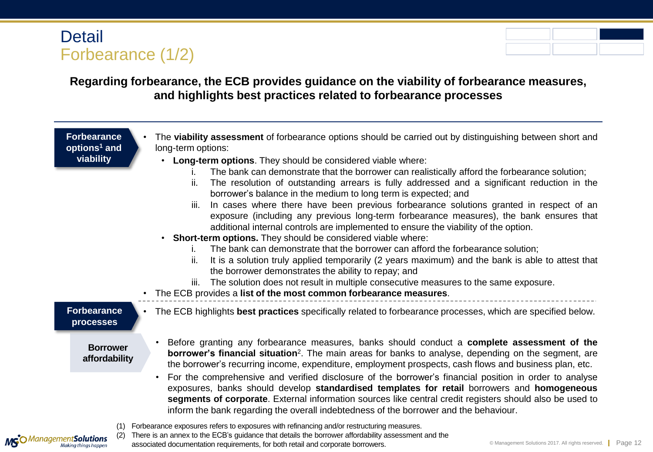## **Detail** Forbearance (1/2)

### **Regarding forbearance, the ECB provides guidance on the viability of forbearance measures, and highlights best practices related to forbearance processes**

**Forbearance options<sup>1</sup> and viability** 

- The **viability assessment** of forbearance options should be carried out by distinguishing between short and long-term options:
	- **Long-term options**. They should be considered viable where:
		- i. The bank can demonstrate that the borrower can realistically afford the forbearance solution;
		- ii. The resolution of outstanding arrears is fully addressed and a significant reduction in the borrower's balance in the medium to long term is expected; and
		- iii. In cases where there have been previous forbearance solutions granted in respect of an exposure (including any previous long-term forbearance measures), the bank ensures that additional internal controls are implemented to ensure the viability of the option.
	- **Short-term options.** They should be considered viable where:
		- The bank can demonstrate that the borrower can afford the forbearance solution;
		- ii. It is a solution truly applied temporarily (2 years maximum) and the bank is able to attest that the borrower demonstrates the ability to repay; and
		- iii. The solution does not result in multiple consecutive measures to the same exposure.
- The ECB provides a **list of the most common forbearance measures**.

# **processes**

MGO Management Solutions

**Borrower affordability**

- **Forbearance**  The ECB highlights **best practices** specifically related to forbearance processes, which are specified below.
	- Before granting any forbearance measures, banks should conduct a **complete assessment of the borrower's financial situation**<sup>2</sup>. The main areas for banks to analyse, depending on the segment, are the borrower's recurring income, expenditure, employment prospects, cash flows and business plan, etc.
	- For the comprehensive and verified disclosure of the borrower's financial position in order to analyse exposures, banks should develop **standardised templates for retail** borrowers and **homogeneous segments of corporate**. External information sources like central credit registers should also be used to inform the bank regarding the overall indebtedness of the borrower and the behaviour.
	- (1) Forbearance exposures refers to exposures with refinancing and/or restructuring measures.
		- There is an annex to the ECB's guidance that details the borrower affordability assessment and the associated documentation requirements, for both retail and corporate borrowers.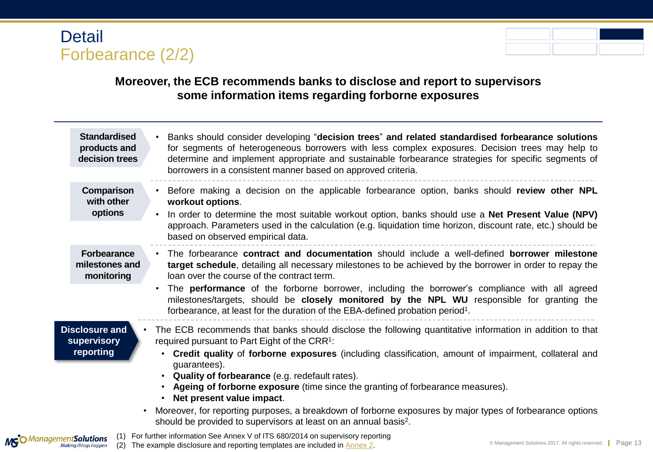### Detail Forbearance (2/2)

### **Moreover, the ECB recommends banks to disclose and report to supervisors some information items regarding forborne exposures**

| <b>Standardised</b><br>products and<br>decision trees          | Banks should consider developing "decision trees" and related standardised forbearance solutions<br>for segments of heterogeneous borrowers with less complex exposures. Decision trees may help to<br>determine and implement appropriate and sustainable forbearance strategies for specific segments of<br>borrowers in a consistent manner based on approved criteria.                                                                                                                                                                                                                                                                                  |
|----------------------------------------------------------------|-------------------------------------------------------------------------------------------------------------------------------------------------------------------------------------------------------------------------------------------------------------------------------------------------------------------------------------------------------------------------------------------------------------------------------------------------------------------------------------------------------------------------------------------------------------------------------------------------------------------------------------------------------------|
| Comparison<br>with other<br>options                            | Before making a decision on the applicable forbearance option, banks should review other NPL<br>workout options.<br>In order to determine the most suitable workout option, banks should use a <b>Net Present Value (NPV)</b><br>$\bullet$<br>approach. Parameters used in the calculation (e.g. liquidation time horizon, discount rate, etc.) should be<br>based on observed empirical data.                                                                                                                                                                                                                                                              |
| <b>Forbearance</b><br>milestones and<br>monitoring             | The forbearance contract and documentation should include a well-defined borrower milestone<br>target schedule, detailing all necessary milestones to be achieved by the borrower in order to repay the<br>loan over the course of the contract term.<br>The <b>performance</b> of the forborne borrower, including the borrower's compliance with all agreed<br>milestones/targets, should be <b>closely monitored by the NPL WU</b> responsible for granting the<br>forbearance, at least for the duration of the EBA-defined probation period <sup>1</sup> .                                                                                             |
| <b>Disclosure and</b><br>supervisory<br>reporting<br>$\bullet$ | The ECB recommends that banks should disclose the following quantitative information in addition to that<br>required pursuant to Part Eight of the CRR <sup>1</sup> :<br>Credit quality of forborne exposures (including classification, amount of impairment, collateral and<br>quarantees).<br>Quality of forbearance (e.g. redefault rates).<br>Ageing of forborne exposure (time since the granting of forbearance measures).<br>Net present value impact.<br>Moreover, for reporting purposes, a breakdown of forborne exposures by major types of forbearance options<br>should be provided to supervisors at least on an annual basis <sup>2</sup> . |
| MSO Management Solutions<br>Making things happen<br>(2)        | For further information See Annex V of ITS 680/2014 on supervisory reporting<br>© Management Solutions 2017. All rights reserved.   Page 13<br>The example disclosure and reporting templates are included in <b>Annex 2</b> .                                                                                                                                                                                                                                                                                                                                                                                                                              |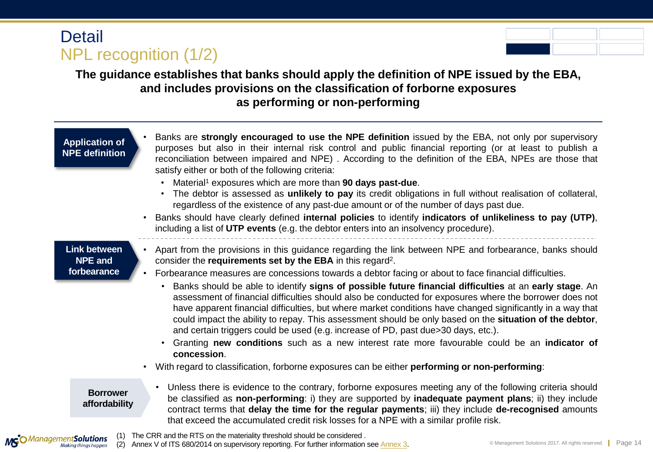## **Detail** NPL recognition (1/2)

### **The guidance establishes that banks should apply the definition of NPE issued by the EBA, and includes provisions on the classification of forborne exposures as performing or non-performing**

| <b>Application of</b><br><b>NPE</b> definition       | Banks are strongly encouraged to use the NPE definition issued by the EBA, not only por supervisory<br>purposes but also in their internal risk control and public financial reporting (or at least to publish a<br>reconciliation between impaired and NPE). According to the definition of the EBA, NPEs are those that<br>satisfy either or both of the following criteria:<br>Material <sup>1</sup> exposures which are more than 90 days past-due.<br>The debtor is assessed as unlikely to pay its credit obligations in full without realisation of collateral,<br>regardless of the existence of any past-due amount or of the number of days past due.<br>Banks should have clearly defined internal policies to identify indicators of unlikeliness to pay (UTP),<br>$\bullet$<br>including a list of UTP events (e.g. the debtor enters into an insolvency procedure).                                                                                                                                                                                                            |
|------------------------------------------------------|----------------------------------------------------------------------------------------------------------------------------------------------------------------------------------------------------------------------------------------------------------------------------------------------------------------------------------------------------------------------------------------------------------------------------------------------------------------------------------------------------------------------------------------------------------------------------------------------------------------------------------------------------------------------------------------------------------------------------------------------------------------------------------------------------------------------------------------------------------------------------------------------------------------------------------------------------------------------------------------------------------------------------------------------------------------------------------------------|
| <b>Link between</b><br><b>NPE and</b><br>forbearance | Apart from the provisions in this guidance regarding the link between NPE and forbearance, banks should<br>$\bullet$<br>consider the requirements set by the EBA in this regard <sup>2</sup> .<br>Forbearance measures are concessions towards a debtor facing or about to face financial difficulties.<br>$\bullet$<br>Banks should be able to identify signs of possible future financial difficulties at an early stage. An<br>assessment of financial difficulties should also be conducted for exposures where the borrower does not<br>have apparent financial difficulties, but where market conditions have changed significantly in a way that<br>could impact the ability to repay. This assessment should be only based on the situation of the debtor,<br>and certain triggers could be used (e.g. increase of PD, past due>30 days, etc.).<br>Granting new conditions such as a new interest rate more favourable could be an indicator of<br>concession.<br>With regard to classification, forborne exposures can be either <b>performing or non-performing</b> :<br>$\bullet$ |
| <b>Borrower</b><br>affordability                     | Unless there is evidence to the contrary, forborne exposures meeting any of the following criteria should<br>be classified as non-performing: i) they are supported by inadequate payment plans; ii) they include<br>contract terms that delay the time for the regular payments; iii) they include de-recognised amounts                                                                                                                                                                                                                                                                                                                                                                                                                                                                                                                                                                                                                                                                                                                                                                    |
|                                                      | that exceed the accumulated credit risk losses for a NPE with a similar profile risk.<br>$\mathbf{r}$ and $\mathbf{r}$ and $\mathbf{r}$ and $\mathbf{r}$ and $\mathbf{r}$ and $\mathbf{r}$ and $\mathbf{r}$ and $\mathbf{r}$ and $\mathbf{r}$ and $\mathbf{r}$ and $\mathbf{r}$ and $\mathbf{r}$ and $\mathbf{r}$ and $\mathbf{r}$ and $\mathbf{r}$ and $\mathbf{r}$ and $\mathbf{r}$ and                                                                                                                                                                                                                                                                                                                                                                                                                                                                                                                                                                                                                                                                                                    |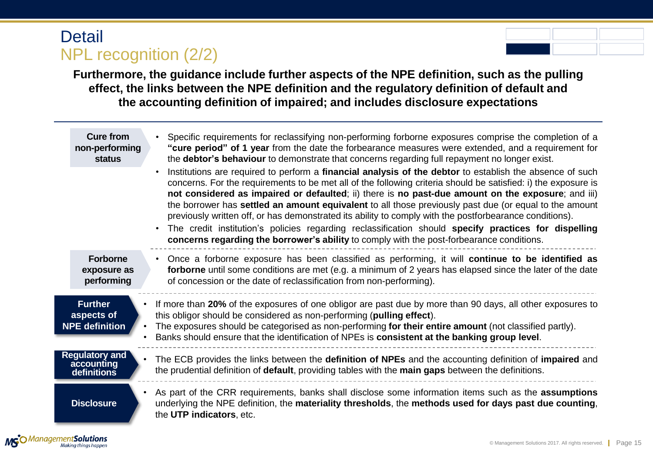## **Detail** NPL recognition (2/2)

**Furthermore, the guidance include further aspects of the NPE definition, such as the pulling effect, the links between the NPE definition and the regulatory definition of default and the accounting definition of impaired; and includes disclosure expectations**

| <b>Cure from</b><br>non-performing<br>status          | Specific requirements for reclassifying non-performing forborne exposures comprise the completion of a<br>"cure period" of 1 year from the date the forbearance measures were extended, and a requirement for<br>the <b>debtor's behaviour</b> to demonstrate that concerns regarding full repayment no longer exist.<br>Institutions are required to perform a financial analysis of the debtor to establish the absence of such<br>concerns. For the requirements to be met all of the following criteria should be satisfied: i) the exposure is<br>not considered as impaired or defaulted; ii) there is no past-due amount on the exposure; and iii)<br>the borrower has settled an amount equivalent to all those previously past due (or equal to the amount<br>previously written off, or has demonstrated its ability to comply with the postforbearance conditions).<br>The credit institution's policies regarding reclassification should specify practices for dispelling<br>concerns regarding the borrower's ability to comply with the post-forbearance conditions. |
|-------------------------------------------------------|-------------------------------------------------------------------------------------------------------------------------------------------------------------------------------------------------------------------------------------------------------------------------------------------------------------------------------------------------------------------------------------------------------------------------------------------------------------------------------------------------------------------------------------------------------------------------------------------------------------------------------------------------------------------------------------------------------------------------------------------------------------------------------------------------------------------------------------------------------------------------------------------------------------------------------------------------------------------------------------------------------------------------------------------------------------------------------------|
| <b>Forborne</b><br>exposure as<br>performing          | Once a forborne exposure has been classified as performing, it will continue to be identified as<br>$\bullet$<br>forborne until some conditions are met (e.g. a minimum of 2 years has elapsed since the later of the date<br>of concession or the date of reclassification from non-performing).                                                                                                                                                                                                                                                                                                                                                                                                                                                                                                                                                                                                                                                                                                                                                                                   |
| <b>Further</b><br>aspects of<br><b>NPE</b> definition | If more than 20% of the exposures of one obligor are past due by more than 90 days, all other exposures to<br>this obligor should be considered as non-performing (pulling effect).<br>The exposures should be categorised as non-performing for their entire amount (not classified partly).<br>Banks should ensure that the identification of NPEs is consistent at the banking group level.                                                                                                                                                                                                                                                                                                                                                                                                                                                                                                                                                                                                                                                                                      |
| <b>Regulatory and</b><br>accounting<br>definitions    | The ECB provides the links between the definition of NPEs and the accounting definition of impaired and<br>the prudential definition of default, providing tables with the main gaps between the definitions.                                                                                                                                                                                                                                                                                                                                                                                                                                                                                                                                                                                                                                                                                                                                                                                                                                                                       |
| <b>Disclosure</b>                                     | As part of the CRR requirements, banks shall disclose some information items such as the assumptions<br>underlying the NPE definition, the materiality thresholds, the methods used for days past due counting,<br>the UTP indicators, etc.                                                                                                                                                                                                                                                                                                                                                                                                                                                                                                                                                                                                                                                                                                                                                                                                                                         |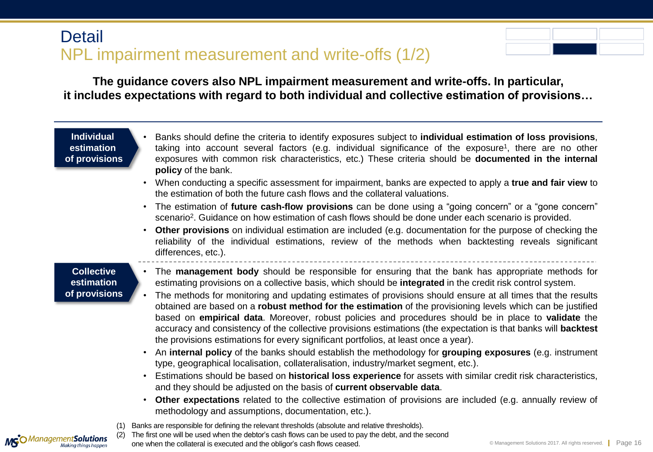### **Detail** NPL impairment measurement and write-offs (1/2)



**The guidance covers also NPL impairment measurement and write-offs. In particular, it includes expectations with regard to both individual and collective estimation of provisions…**

#### **Individual estimation of provisions**

- Banks should define the criteria to identify exposures subject to **individual estimation of loss provisions**, taking into account several factors (e.g. individual significance of the exposure<sup>1</sup>, there are no other exposures with common risk characteristics, etc.) These criteria should be **documented in the internal policy** of the bank.
- When conducting a specific assessment for impairment, banks are expected to apply a **true and fair view** to the estimation of both the future cash flows and the collateral valuations.
- The estimation of **future cash-flow provisions** can be done using a "going concern" or a "gone concern" scenario<sup>2</sup>. Guidance on how estimation of cash flows should be done under each scenario is provided.
- **Other provisions** on individual estimation are included (e.g. documentation for the purpose of checking the reliability of the individual estimations, review of the methods when backtesting reveals significant differences, etc.).

### **Collective estimation of provisions**

MGO Management Solutions

- The **management body** should be responsible for ensuring that the bank has appropriate methods for estimating provisions on a collective basis, which should be **integrated** in the credit risk control system.
- The methods for monitoring and updating estimates of provisions should ensure at all times that the results obtained are based on a **robust method for the estimation** of the provisioning levels which can be justified based on **empirical data**. Moreover, robust policies and procedures should be in place to **validate** the accuracy and consistency of the collective provisions estimations (the expectation is that banks will **backtest** the provisions estimations for every significant portfolios, at least once a year).
- An **internal policy** of the banks should establish the methodology for **grouping exposures** (e.g. instrument type, geographical localisation, collateralisation, industry/market segment, etc.).
- Estimations should be based on **historical loss experience** for assets with similar credit risk characteristics, and they should be adjusted on the basis of **current observable data**.
- **Other expectations** related to the collective estimation of provisions are included (e.g. annually review of methodology and assumptions, documentation, etc.).
- (1) Banks are responsible for defining the relevant thresholds (absolute and relative thresholds).
	- The first one will be used when the debtor's cash flows can be used to pay the debt, and the second one when the collateral is executed and the obligor's cash flows ceased.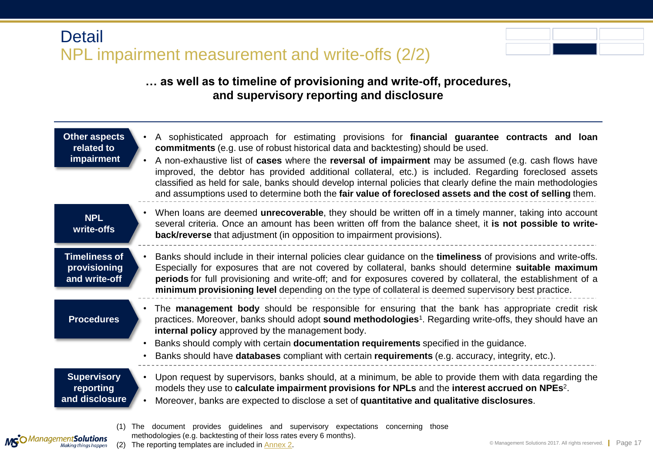### **Detail** NPL impairment measurement and write-offs (2/2)



### **… as well as to timeline of provisioning and write-off, procedures, and supervisory reporting and disclosure**

| <b>Other aspects</b><br>related to<br>impairment      | A sophisticated approach for estimating provisions for financial guarantee contracts and loan<br>commitments (e.g. use of robust historical data and backtesting) should be used.<br>A non-exhaustive list of cases where the reversal of impairment may be assumed (e.g. cash flows have<br>improved, the debtor has provided additional collateral, etc.) is included. Regarding foreclosed assets<br>classified as held for sale, banks should develop internal policies that clearly define the main methodologies<br>and assumptions used to determine both the fair value of foreclosed assets and the cost of selling them. |
|-------------------------------------------------------|------------------------------------------------------------------------------------------------------------------------------------------------------------------------------------------------------------------------------------------------------------------------------------------------------------------------------------------------------------------------------------------------------------------------------------------------------------------------------------------------------------------------------------------------------------------------------------------------------------------------------------|
| <b>NPL</b><br>write-offs                              | When loans are deemed unrecoverable, they should be written off in a timely manner, taking into account<br>several criteria. Once an amount has been written off from the balance sheet, it is not possible to write-<br>back/reverse that adjustment (in opposition to impairment provisions).                                                                                                                                                                                                                                                                                                                                    |
| <b>Timeliness of</b><br>provisioning<br>and write-off | Banks should include in their internal policies clear guidance on the timeliness of provisions and write-offs.<br>Especially for exposures that are not covered by collateral, banks should determine suitable maximum<br>periods for full provisioning and write-off; and for exposures covered by collateral, the establishment of a<br>minimum provisioning level depending on the type of collateral is deemed supervisory best practice.                                                                                                                                                                                      |
| <b>Procedures</b>                                     | The management body should be responsible for ensuring that the bank has appropriate credit risk<br>practices. Moreover, banks should adopt sound methodologies <sup>1</sup> . Regarding write-offs, they should have an<br>internal policy approved by the management body.<br>Banks should comply with certain documentation requirements specified in the guidance.<br>Banks should have databases compliant with certain requirements (e.g. accuracy, integrity, etc.).                                                                                                                                                        |
| <b>Supervisory</b><br>reporting<br>and disclosure     | Upon request by supervisors, banks should, at a minimum, be able to provide them with data regarding the<br>models they use to calculate impairment provisions for NPLs and the interest accrued on NPEs <sup>2</sup> .<br>Moreover, banks are expected to disclose a set of quantitative and qualitative disclosures.                                                                                                                                                                                                                                                                                                             |
| (1)<br>nement <b>Solutions</b>                        | document provides guidelines and supervisory expectations concerning those<br>The<br>methodologies (e.g. backtesting of their loss rates every 6 months).                                                                                                                                                                                                                                                                                                                                                                                                                                                                          |

MG<sup>O</sup> Management Solutions

(2) The reporting templates are included in [Annex](#page-27-0) [2.](#page-27-0)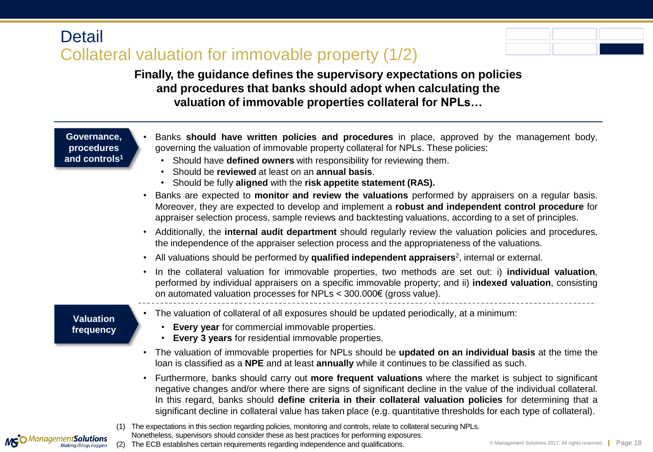### **Detail** Collateral valuation for immovable property (1/2)



**Finally, the guidance defines the supervisory expectations on policies and procedures that banks should adopt when calculating the valuation of immovable properties collateral for NPLs…**

#### **Governance, procedures and controls<sup>1</sup>**

| Banks should have written policies and procedures in place, approved by the management body, |
|----------------------------------------------------------------------------------------------|
| governing the valuation of immovable property collateral for NPLs. These policies:           |

- Should have **defined owners** with responsibility for reviewing them.
- Should be **reviewed** at least on an **annual basis**.
- Should be fully **aligned** with the **risk appetite statement (RAS).**
- Banks are expected to **monitor and review the valuations** performed by appraisers on a regular basis. Moreover, they are expected to develop and implement a **robust and independent control procedure** for appraiser selection process, sample reviews and backtesting valuations, according to a set of principles.
- Additionally, the **internal audit department** should regularly review the valuation policies and procedures, the independence of the appraiser selection process and the appropriateness of the valuations.
- All valuations should be performed by **qualified independent appraisers**<sup>2</sup> , internal or external.
- In the collateral valuation for immovable properties, two methods are set out: i) **individual valuation**, performed by individual appraisers on a specific immovable property; and ii) **indexed valuation**, consisting on automated valuation processes for NPLs < 300.000€ (gross value).

### **Valuation frequency**

MGO Management Solutions

- The valuation of collateral of all exposures should be updated periodically, at a minimum:
	- **Every year** for commercial immovable properties.
	- **Every 3 years** for residential immovable properties.
- The valuation of immovable properties for NPLs should be **updated on an individual basis** at the time the loan is classified as a **NPE** and at least **annually** while it continues to be classified as such.
- Furthermore, banks should carry out **more frequent valuations** where the market is subject to significant negative changes and/or where there are signs of significant decline in the value of the individual collateral. In this regard, banks should **define criteria in their collateral valuation policies** for determining that a significant decline in collateral value has taken place (e.g. quantitative thresholds for each type of collateral).

(1) The expectations in this section regarding policies, monitoring and controls, relate to collateral securing NPLs. Nonetheless, supervisors should consider these as best practices for performing exposures. (2) The ECB establishes certain requirements regarding independence and qualifications.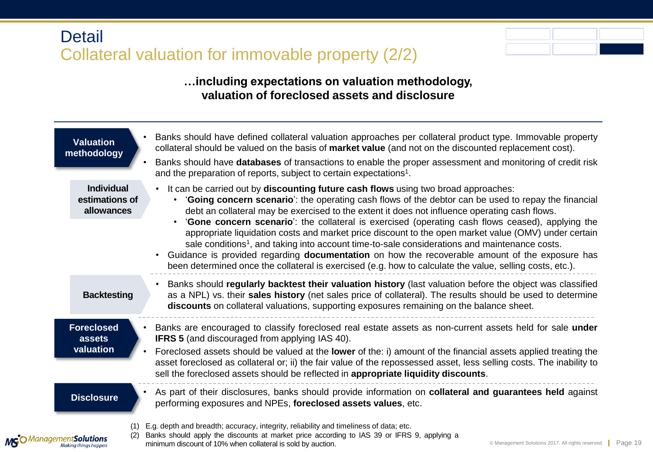## **Detail** Collateral valuation for immovable property (2/2)



### **…including expectations on valuation methodology, valuation of foreclosed assets and disclosure**

| <b>Valuation</b><br>methodology                   | Banks should have defined collateral valuation approaches per collateral product type. Immovable property<br>collateral should be valued on the basis of market value (and not on the discounted replacement cost).<br>Banks should have databases of transactions to enable the proper assessment and monitoring of credit risk<br>and the preparation of reports, subject to certain expectations <sup>1</sup> .                                                                                                                                                                                                                                                                                                                                                                                                                         |
|---------------------------------------------------|--------------------------------------------------------------------------------------------------------------------------------------------------------------------------------------------------------------------------------------------------------------------------------------------------------------------------------------------------------------------------------------------------------------------------------------------------------------------------------------------------------------------------------------------------------------------------------------------------------------------------------------------------------------------------------------------------------------------------------------------------------------------------------------------------------------------------------------------|
| <b>Individual</b><br>estimations of<br>allowances | • It can be carried out by discounting future cash flows using two broad approaches:<br>'Going concern scenario': the operating cash flows of the debtor can be used to repay the financial<br>debt an collateral may be exercised to the extent it does not influence operating cash flows.<br>'Gone concern scenario': the collateral is exercised (operating cash flows ceased), applying the<br>appropriate liquidation costs and market price discount to the open market value (OMV) under certain<br>sale conditions <sup>1</sup> , and taking into account time-to-sale considerations and maintenance costs.<br>Guidance is provided regarding <b>documentation</b> on how the recoverable amount of the exposure has<br>been determined once the collateral is exercised (e.g. how to calculate the value, selling costs, etc.). |
| <b>Backtesting</b>                                | Banks should regularly backtest their valuation history (last valuation before the object was classified<br>as a NPL) vs. their sales history (net sales price of collateral). The results should be used to determine<br>discounts on collateral valuations, supporting exposures remaining on the balance sheet.                                                                                                                                                                                                                                                                                                                                                                                                                                                                                                                         |
| <b>Foreclosed</b><br>assets<br>valuation          | Banks are encouraged to classify foreclosed real estate assets as non-current assets held for sale under<br><b>IFRS 5</b> (and discouraged from applying IAS 40).<br>Foreclosed assets should be valued at the lower of the: i) amount of the financial assets applied treating the<br>asset foreclosed as collateral or; ii) the fair value of the repossessed asset, less selling costs. The inability to<br>sell the foreclosed assets should be reflected in appropriate liquidity discounts.                                                                                                                                                                                                                                                                                                                                          |
| <b>Disclosure</b>                                 | As part of their disclosures, banks should provide information on collateral and guarantees held against<br>performing exposures and NPEs, foreclosed assets values, etc.                                                                                                                                                                                                                                                                                                                                                                                                                                                                                                                                                                                                                                                                  |
| MS <sup>O</sup> Management Solutions              | E.g. depth and breadth; accuracy, integrity, reliability and timeliness of data; etc.<br>Banks should apply the discounts at market price according to IAS 39 or IFRS 9, applying a<br>© Management Solutions 2017. All rights reserved.   Page 19<br>minimum discount of 10% when collateral is sold by auction.                                                                                                                                                                                                                                                                                                                                                                                                                                                                                                                          |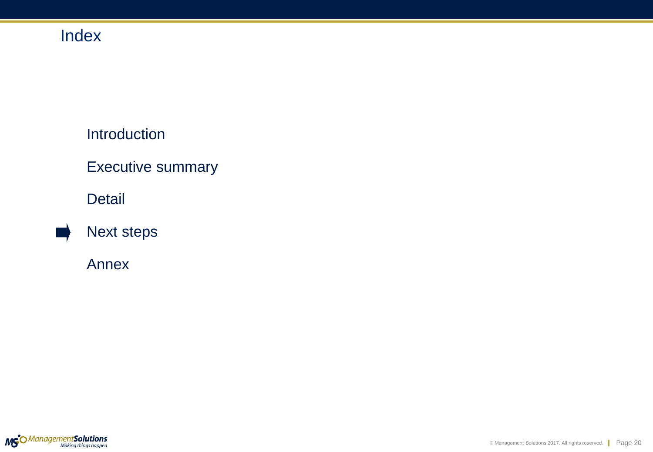# Index

### Introduction

### Executive summary

### Detail



### Annex

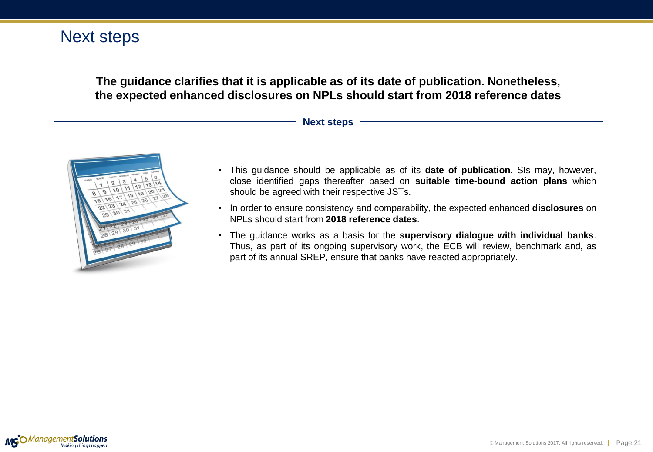### Next steps

**The guidance clarifies that it is applicable as of its date of publication. Nonetheless, the expected enhanced disclosures on NPLs should start from 2018 reference dates**

#### **Next steps**



- This guidance should be applicable as of its **date of publication**. SIs may, however, close identified gaps thereafter based on **suitable time-bound action plans** which should be agreed with their respective JSTs.
- In order to ensure consistency and comparability, the expected enhanced **disclosures** on NPLs should start from **2018 reference dates**.
- The guidance works as a basis for the **supervisory dialogue with individual banks**. Thus, as part of its ongoing supervisory work, the ECB will review, benchmark and, as part of its annual SREP, ensure that banks have reacted appropriately.

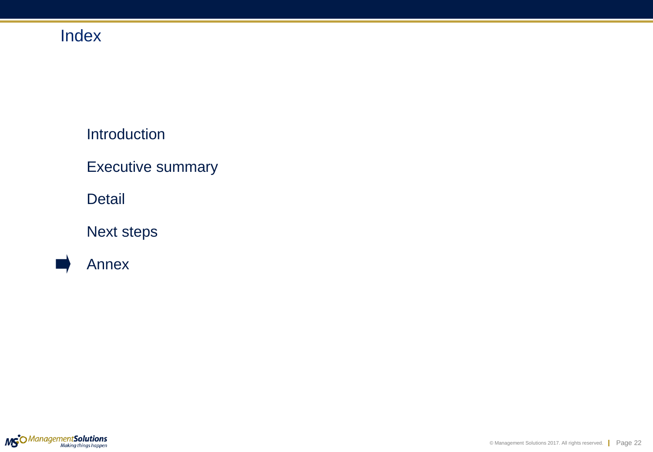# Index

Introduction

Executive summary

Detail

Next steps

Annex

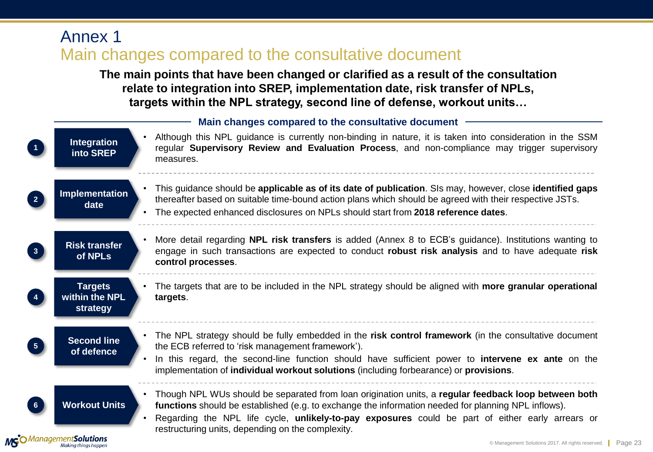### Annex 1 Main changes compared to the consultative document

**The main points that have been changed or clarified as a result of the consultation relate to integration into SREP, implementation date, risk transfer of NPLs, targets within the NPL strategy, second line of defense, workout units…**

<span id="page-22-0"></span>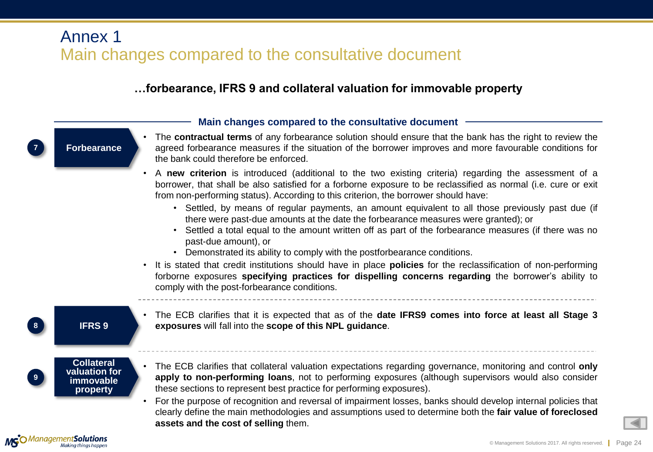### Annex 1 Main changes compared to the consultative document

### **…forbearance, IFRS 9 and collateral valuation for immovable property**

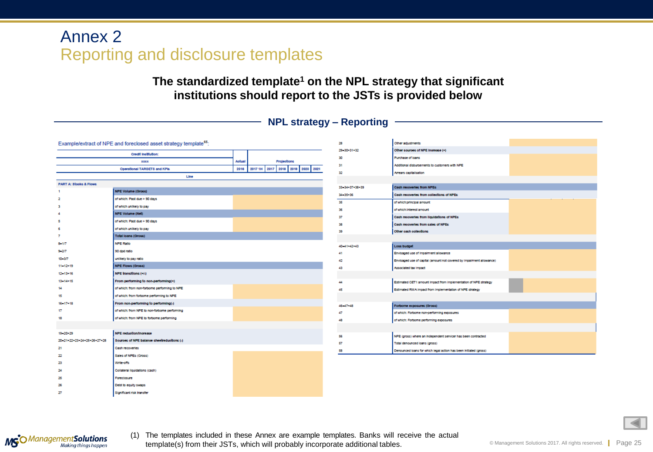**The standardized template<sup>1</sup> on the NPL strategy that significant institutions should report to the JSTs is provided below**

### **NPL strategy – Reporting**

|                                   | Example/extract of NPE and foreclosed asset strategy template <sup>65</sup> : |                                          | 28             | Other adjustments                                                     |  |
|-----------------------------------|-------------------------------------------------------------------------------|------------------------------------------|----------------|-----------------------------------------------------------------------|--|
|                                   |                                                                               |                                          | 29-30-31-32    | Other couroes of NPE Increase (+)                                     |  |
|                                   | Credit Institution:                                                           |                                          | 30             | Purchase of loans                                                     |  |
|                                   | <b>XXXX</b>                                                                   | Aotual<br>Projections                    | 31             | Additional disbursements to customers with NPE                        |  |
|                                   | Operational TARGETS and KPIG                                                  | 2017 1H 2017 2018 2019 2020 2021<br>2016 | 32             | Arrears capitalisation                                                |  |
|                                   | Line                                                                          |                                          |                |                                                                       |  |
| <b>PART A: Stooks &amp; Flows</b> |                                                                               |                                          | 33-34+37+38+39 | Cash recoveries from NPEs                                             |  |
|                                   | <b>NPE Volume (Gross)</b>                                                     |                                          | 34-35+36       | Cash recoveries from collections of NPEs                              |  |
|                                   | of which: Past due > 90 days                                                  |                                          | 35             | of which:principal amount                                             |  |
|                                   | of which unlikely to pay                                                      |                                          | 36             | of which: interest amount                                             |  |
|                                   | <b>NPE Volume (Net)</b>                                                       |                                          | 37             | Cash recoveries from liquidations of NPEs                             |  |
|                                   | of which: Past due > 90 days                                                  |                                          | 38             | Cach recoveries from sales of NPEs                                    |  |
|                                   | of which unlikely to pay                                                      |                                          | 39             | Other each collections                                                |  |
|                                   | <b>Total loans (Gross)</b>                                                    |                                          |                |                                                                       |  |
| $8 - 1/7$                         | <b>NPE Ratio</b>                                                              |                                          | 40-41-42-43    | <b>Loss budget</b>                                                    |  |
| 9-207                             | 90 dpd ratio                                                                  |                                          | 41             | Envisaged use of impairment allowance                                 |  |
| $10 - 3/7$                        | unlikely to pay ratio                                                         |                                          | 42             | Envisaged use of capital (amount not covered by impairment allowance) |  |
| 11-12-19                          | <b>NPE Flows (Gross)</b>                                                      |                                          | 43             | Associated tax Impact                                                 |  |
| $12 - 13 + 16$                    | NPE transitions (+/-)                                                         |                                          |                |                                                                       |  |
| 13-14-15                          | From performing to non-performing(+)                                          |                                          | 44             | Estimated CET1 amount impact from implementation of NPE strategy      |  |
| 14                                | of which: from non-forborne performing to NPE                                 |                                          | 45             | Estimated RWA impact from Implementation of NPE strategy              |  |
| 15                                | of which: from forbome performing to NPE                                      |                                          |                |                                                                       |  |
| $16 - 17 - 18$                    | From non-performing to performing(-)                                          |                                          | 46-47+48       | Forborne exposures (Gross)                                            |  |
| 17                                | of which: from NPE to non-forborne performing                                 |                                          | 47             | of which: Forbome non-performing exposures                            |  |
| 18                                | of which: from NPE to forborne performing                                     |                                          | 48             | of which: Forbome performing exposures                                |  |
|                                   |                                                                               |                                          |                |                                                                       |  |
| 19-20+29                          | <b>NPE reduction/increase</b>                                                 |                                          | 56             | NPE (gross) where an independent servicer has been contracted         |  |
| 20-21-22-23-24-25-26-27-28        | Sources of NPE balance sheetreductions (-)                                    |                                          | 57             | Total denounced loans (gross)                                         |  |
| 21                                | Cash recoveries                                                               |                                          | 58             | Denounced loans for which legal action has been initiated (gross)     |  |
| 22                                | Sales of NPEs (Gross)                                                         |                                          |                |                                                                       |  |
| 23                                | Write offs                                                                    |                                          |                |                                                                       |  |
| 24                                | Collateral liquidations (cash)                                                |                                          |                |                                                                       |  |
| 25                                | Foreclosure                                                                   |                                          |                |                                                                       |  |
| 26                                | Debt to equity swaps                                                          |                                          |                |                                                                       |  |
| 27                                | Significant risk transfer                                                     |                                          |                |                                                                       |  |

<span id="page-24-0"></span>

(1) The templates included in these Annex are example templates. Banks will receive the actual template(s) from their JSTs, which will probably incorporate additional tables.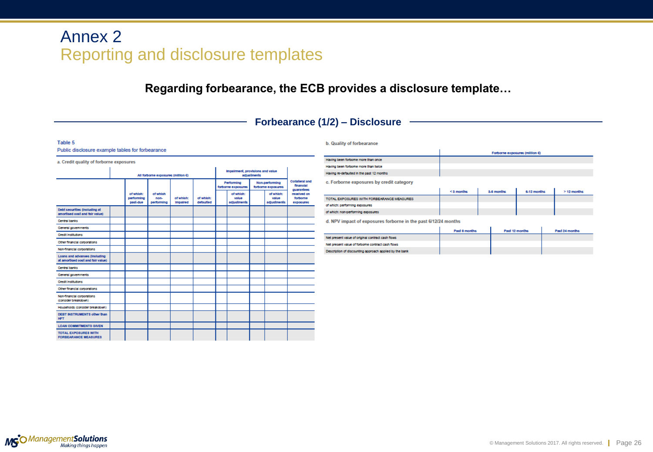**Regarding forbearance, the ECB provides a disclosure template…**

### **Forbearance (1/2) – Disclosure**

#### Table 5 Public disclosure example tables for forbearance

| a. Credit quality of forborne exposures                            |                                    |                                     |                                |                       |                        |  |                                                 |                                      |                                   |                                                  |  |
|--------------------------------------------------------------------|------------------------------------|-------------------------------------|--------------------------------|-----------------------|------------------------|--|-------------------------------------------------|--------------------------------------|-----------------------------------|--------------------------------------------------|--|
|                                                                    | All forborne exposures (million E) |                                     |                                |                       |                        |  | impairment, provisions and value<br>adjustments |                                      |                                   |                                                  |  |
|                                                                    |                                    |                                     |                                |                       |                        |  | Performing<br>forborne exposures                | Non-performing<br>forborne exposures |                                   | <b>Collateral and</b><br>finanolal<br>quarantees |  |
|                                                                    |                                    | of which:<br>performing<br>pact-due | of which<br>non-<br>performing | of which:<br>Impaired | of which:<br>defaulted |  | of which:<br>value<br>adjuctments               |                                      | of which:<br>value<br>adjuctments | received on<br>forborne<br>ехровитев             |  |
| Debt ceourities (including at<br>amortised oost and fair value)    |                                    |                                     |                                |                       |                        |  |                                                 |                                      |                                   |                                                  |  |
| Central banks                                                      |                                    |                                     |                                |                       |                        |  |                                                 |                                      |                                   |                                                  |  |
| General governments                                                |                                    |                                     |                                |                       |                        |  |                                                 |                                      |                                   |                                                  |  |
| <b>Credit Institutions</b>                                         |                                    |                                     |                                |                       |                        |  |                                                 |                                      |                                   |                                                  |  |
| Other financial corporations                                       |                                    |                                     |                                |                       |                        |  |                                                 |                                      |                                   |                                                  |  |
| Non-financial corporations                                         |                                    |                                     |                                |                       |                        |  |                                                 |                                      |                                   |                                                  |  |
| Loans and advances (Including<br>at amortised oost and fair value) |                                    |                                     |                                |                       |                        |  |                                                 |                                      |                                   |                                                  |  |
| Central banks                                                      |                                    |                                     |                                |                       |                        |  |                                                 |                                      |                                   |                                                  |  |
| General governments                                                |                                    |                                     |                                |                       |                        |  |                                                 |                                      |                                   |                                                  |  |
| <b>Credit Institutions</b>                                         |                                    |                                     |                                |                       |                        |  |                                                 |                                      |                                   |                                                  |  |
| Other financial corporations                                       |                                    |                                     |                                |                       |                        |  |                                                 |                                      |                                   |                                                  |  |
| Non-financial corporations<br>(consider breakdown)                 |                                    |                                     |                                |                       |                        |  |                                                 |                                      |                                   |                                                  |  |
| Households (consider breakdown)                                    |                                    |                                     |                                |                       |                        |  |                                                 |                                      |                                   |                                                  |  |
| DEBT INSTRUMENTS other than<br><b>HFT</b>                          |                                    |                                     |                                |                       |                        |  |                                                 |                                      |                                   |                                                  |  |
| <b>LOAN COMMITMENTS GIVEN</b>                                      |                                    |                                     |                                |                       |                        |  |                                                 |                                      |                                   |                                                  |  |
| <b>TOTAL EXPOSURES WITH</b><br><b>FORBEARANCE MEASURES</b>         |                                    |                                     |                                |                       |                        |  |                                                 |                                      |                                   |                                                  |  |

#### **b.** Quality of forbearance

|                                            |           |            | Forborne exposures (million 6) |             |
|--------------------------------------------|-----------|------------|--------------------------------|-------------|
| Having been forbome more than once         |           |            |                                |             |
| Having been forbome more than twice        |           |            |                                |             |
| Having re-defaulted in the past 12 months  |           |            |                                |             |
| c. Forborne exposures by credit category   |           |            |                                |             |
|                                            | <3 months | 3-8 months | 8-12 months                    | > 12 months |
| TOTAL EXPOSURES WITH FORBEARANCE MEASURES. |           |            |                                |             |
| of which: performing exposures             |           |            |                                |             |
| of which: non-performing exposures         |           |            |                                |             |

d. NPV impact of exposures forborne in the past 6/12/24 months

|                                                         | Pact 8 months | Pact 12 months | Pact 24 months |
|---------------------------------------------------------|---------------|----------------|----------------|
| Net present value of original contract cash flows       |               |                |                |
| Net present value of forborne contract cash flows       |               |                |                |
| Description of discounting approach applied by the bank |               |                |                |

<span id="page-25-0"></span>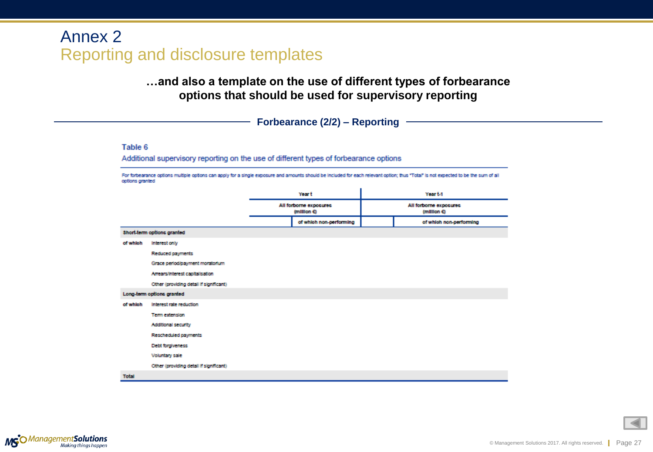### **…and also a template on the use of different types of forbearance options that should be used for supervisory reporting**

**Forbearance (2/2) – Reporting**

#### Table 6

Additional supervisory reporting on the use of different types of forbearance options

For forbearance options multiple options can apply for a single exposure and amounts should be included for each relevant option; thus "Total" is not expected to be the sum of all options granted

|              |                                         | Year t |                                       | Year t-1                              |
|--------------|-----------------------------------------|--------|---------------------------------------|---------------------------------------|
|              |                                         |        | All forborne exposures<br>(milllon 6) | All forborne exposures<br>(million €) |
|              |                                         |        | of which non-performing               | of which non-performing               |
|              | Short-term options granted              |        |                                       |                                       |
| of which     | <b>Interest only</b>                    |        |                                       |                                       |
|              | Reduced payments                        |        |                                       |                                       |
|              | Grace period/payment moratorium         |        |                                       |                                       |
|              | Arrears/Interest capitalisation         |        |                                       |                                       |
|              | Other (providing detail if significant) |        |                                       |                                       |
|              | Long-term options granted               |        |                                       |                                       |
| of which     | Interest rate reduction                 |        |                                       |                                       |
|              | <b>Term extension</b>                   |        |                                       |                                       |
|              | Additional security                     |        |                                       |                                       |
|              | Rescheduled payments                    |        |                                       |                                       |
|              | Debt forgiveness                        |        |                                       |                                       |
|              | <b>Voluntary sale</b>                   |        |                                       |                                       |
|              | Other (providing detail if significant) |        |                                       |                                       |
| <b>Total</b> |                                         |        |                                       |                                       |

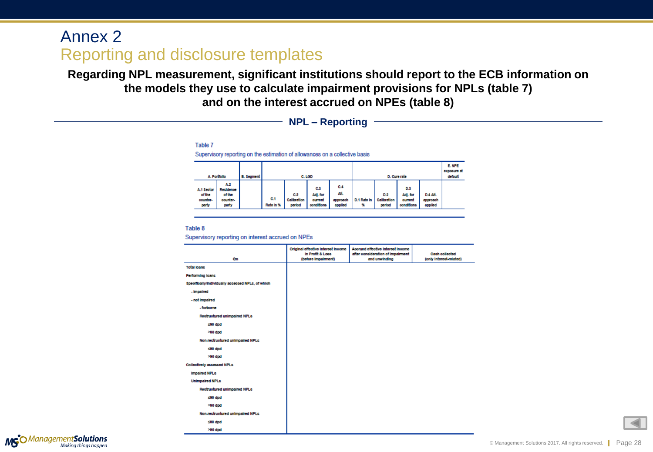**Regarding NPL measurement, significant institutions should report to the ECB information on the models they use to calculate impairment provisions for NPLs (table 7) and on the interest accrued on NPEs (table 8)** 

**NPL – Reporting**

Table 7

Supervisory reporting on the estimation of allowances on a collective basis

|                                           | A. Portfolio<br>B. Segment                      |  |                  |                              | C. LGD                                   |                                    |                  | D. Cure rate                 |                                          |                                 | E. NPE<br>exposure at<br>dofault |
|-------------------------------------------|-------------------------------------------------|--|------------------|------------------------------|------------------------------------------|------------------------------------|------------------|------------------------------|------------------------------------------|---------------------------------|----------------------------------|
| A.1 Sector<br>of the<br>counter-<br>party | A.2<br>Recidence<br>of the<br>counter-<br>party |  | C.1<br>Rate In % | C.2<br>Calibration<br>period | C.3<br>Adj. for<br>ourrent<br>oonditions | C.4<br>Alt.<br>approach<br>applied | D.1 Rate In<br>₩ | D.2<br>Calibration<br>period | D.3<br>Adj. for<br>ourrent<br>oonditions | D.4 Alt.<br>approach<br>applied |                                  |

#### Table 8

Supervisory reporting on interest accrued on NPEs

| 6m                                                | Original effective Interest Income<br>In Profit & Loss<br>(before Impairment) | Accrued effective Interest Income<br>after consideration of impairment<br>and unwinding | <b>Cach collected</b><br>(only Interest-related) |
|---------------------------------------------------|-------------------------------------------------------------------------------|-----------------------------------------------------------------------------------------|--------------------------------------------------|
| <b>Total loans</b>                                |                                                                               |                                                                                         |                                                  |
| Performing loans                                  |                                                                               |                                                                                         |                                                  |
| Specifically/Individually accessed NPLs, of which |                                                                               |                                                                                         |                                                  |
| - Impaired                                        |                                                                               |                                                                                         |                                                  |
| - not impaired                                    |                                                                               |                                                                                         |                                                  |
| - forborne                                        |                                                                               |                                                                                         |                                                  |
| Restructured unimpaired NPLs                      |                                                                               |                                                                                         |                                                  |
| ≤90 dpd                                           |                                                                               |                                                                                         |                                                  |
| >90 dpd                                           |                                                                               |                                                                                         |                                                  |
| Non-restructured unimpaired NPLs                  |                                                                               |                                                                                         |                                                  |
| ≤80 dpd                                           |                                                                               |                                                                                         |                                                  |
| >90 dpd                                           |                                                                               |                                                                                         |                                                  |
| Collectively accessed NPLs                        |                                                                               |                                                                                         |                                                  |
| <b>Impaired NPLc</b>                              |                                                                               |                                                                                         |                                                  |
| <b>Unimpaired NPLc</b>                            |                                                                               |                                                                                         |                                                  |
| Restructured unimpaired NPLs                      |                                                                               |                                                                                         |                                                  |
| ≤80 dpd                                           |                                                                               |                                                                                         |                                                  |
| >90 dpd                                           |                                                                               |                                                                                         |                                                  |
| Non-restructured unimpaired NPLs                  |                                                                               |                                                                                         |                                                  |
| ≤90 dpd                                           |                                                                               |                                                                                         |                                                  |
| >90 dpd                                           |                                                                               |                                                                                         |                                                  |

<span id="page-27-0"></span>